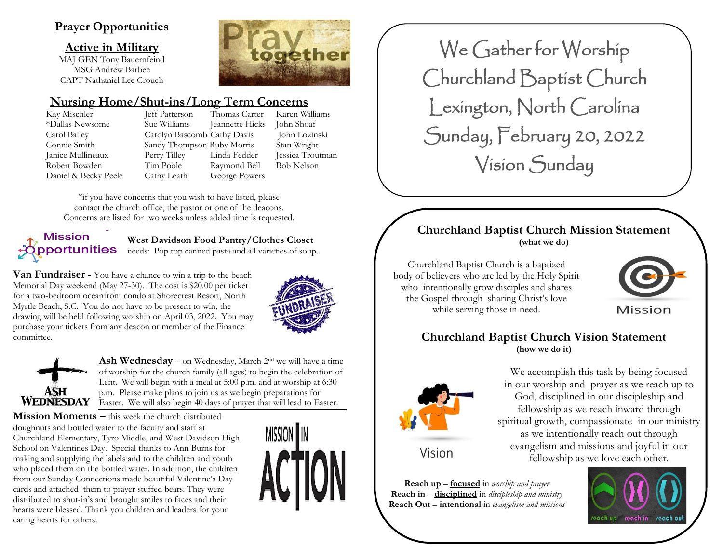#### **Prayer Opportunities**

**Active in Military**

MAJ GEN Tony Bauernfeind MSG Andrew Barbee CAPT Nathaniel Lee Crouch

# together

# **Nursing Home/Shut-ins/Long Term Concerns**

Kay Mischler **Jeff Patterson** Thomas Carter Karen Williams

\*Dallas Newsome Sue Williams Jeannette Hicks John Shoaf Carol Bailey Carolyn Bascomb Cathy Davis John Lozinski Connie Smith Sandy Thompson Ruby Morris Stan Wright Janice Mullineaux Perry Tilley Linda Fedder Jessica Troutman Robert Bowden Tim Poole Raymond Bell Bob Nelson Daniel & Becky Peele Cathy Leath George Powers

\*if you have concerns that you wish to have listed, please contact the church office, the pastor or one of the deacons. Concerns are listed for two weeks unless added time is requested.

**Mission** pportunities

**West Davidson Food Pantry/Clothes Closet**

needs: Pop top canned pasta and all varieties of soup.

**Van Fundraiser -** You have a chance to win a trip to the beach Memorial Day weekend (May 27-30). The cost is \$20.00 per ticket for a two-bedroom oceanfront condo at Shorecrest Resort, North Myrtle Beach, S.C. You do not have to be present to win, the drawing will be held following worship on April 03, 2022. You may purchase your tickets from any deacon or member of the Finance committee.





**Ash Wednesday** – on Wednesday, March 2<sup>nd</sup> we will have a time of worship for the church family (all ages) to begin the celebration of Lent. We will begin with a meal at 5:00 p.m. and at worship at 6:30 p.m. Please make plans to join us as we begin preparations for Easter. We will also begin 40 days of prayer that will lead to Easter.

**Mission Moments –** this week the church distributed doughnuts and bottled water to the faculty and staff at Churchland Elementary, Tyro Middle, and West Davidson High School on Valentines Day. Special thanks to Ann Burns for making and supplying the labels and to the children and youth who placed them on the bottled water. In addition, the children from our Sunday Connections made beautiful Valentine's Day cards and attached them to prayer stuffed bears. They were distributed to shut-in's and brought smiles to faces and their hearts were blessed. Thank you children and leaders for your caring hearts for others.



 Churchland Baptist Church Lexington, North Carolina We Gather for Worship Sunday, February 20, 2022 Vision Sunday

# **Churchland Baptist Church Mission Statement (what we do)** I

Churchland Baptist Church is a baptized body of believers who are led by the Holy Spirit who intentionally grow disciples and shares the Gospel through sharing Christ's love while serving those in need.



Mission

# **Churchland Baptist Church Vision Statement (how we do it)**



We accomplish this task by being focused in our worship and prayer as we reach up to God, disciplined in our discipleship and fellowship as we reach inward through spiritual growth, compassionate in our ministry as we intentionally reach out through evangelism and missions and joyful in our fellowship as we love each other.

Vision

**Reach up** – **focused** in *worship and prayer* **Reach in** – **disciplined** in *discipleship and ministry* **Reach Out** – **intentional** in *evangelism and missions*

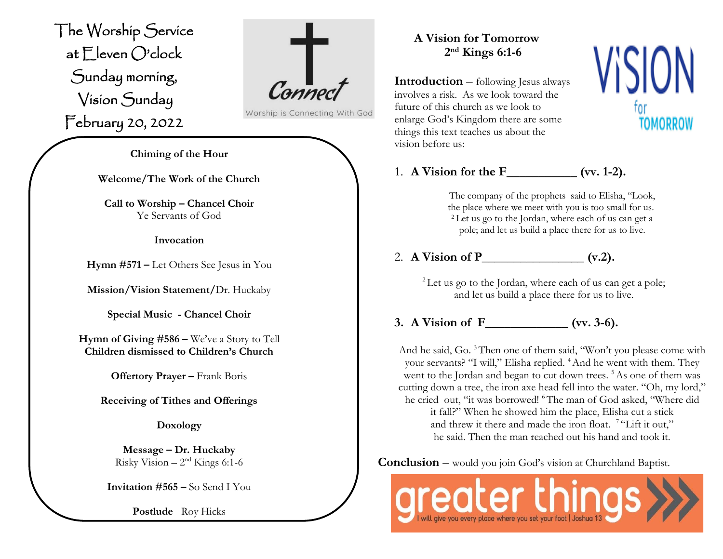The Worship Service at Eleven O'clock Sunday morning, Vision Sunday February 20, 2022 -<br>-



Worship is Connecting With God

**Chiming of the Hour**

**Welcome/The Work of the Church**

**Call to Worship – Chancel Choir** Ye Servants of God

**Invocation**

**Hymn #571 –** Let Others See Jesus in You

**Mission/Vision Statement/**Dr. Huckaby

**Special Music - Chancel Choir**

**Hymn of Giving #586 –** We've a Story to Tell **Children dismissed to Children's Church**

**Offertory Prayer –** Frank Boris

**Receiving of Tithes and Offerings**

**Doxology**

**Message – Dr. Huckaby** Risky Vision – 2 nd Kings 6:1-6

**Invitation #565 –** So Send I You

**Postlude** Roy Hicks

# **A Vision for Tomorrow 2 nd Kings 6:1-6**

**Introduction** – following Jesus always involves a risk. As we look toward the future of this church as we look to enlarge God's Kingdom there are some things this text teaches us about the vision before us:



1. **A Vision for the F\_\_\_\_\_\_\_\_\_\_\_ (vv. 1-2).**

The company of the prophets said to Elisha, "Look, the place where we meet with you is too small for us. <sup>2</sup> Let us go to the Jordan, where each of us can get a pole; and let us build a place there for us to live.

2. **A Vision of P\_\_\_\_\_\_\_\_\_\_\_\_\_\_\_\_ (v.2).**

<sup>2</sup> Let us go to the Jordan, where each of us can get a pole; and let us build a place there for us to live.

**3. A Vision of F\_\_\_\_\_\_\_\_\_\_\_\_\_ (vv. 3-6).**

And he said, Go. <sup>3</sup>Then one of them said, "Won't you please come with your servants? "I will," Elisha replied. <sup>4</sup> And he went with them. They went to the Jordan and began to cut down trees.<sup>5</sup> As one of them was cutting down a tree, the iron axe head fell into the water. "Oh, my lord," he cried out, "it was borrowed! <sup>6</sup>The man of God asked, "Where did it fall?" When he showed him the place, Elisha cut a stick and threw it there and made the iron float. <sup>7</sup> "Lift it out," he said. Then the man reached out his hand and took it.

**Conclusion** – would you join God's vision at Churchland Baptist.

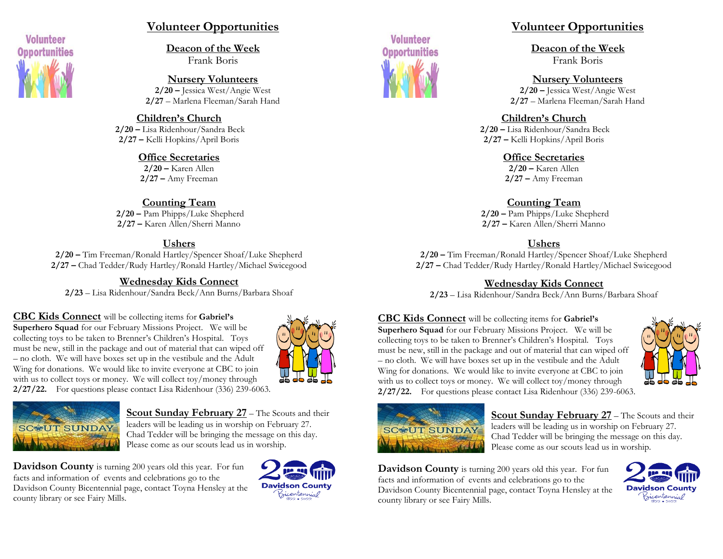

#### **Volunteer Opportunities**

**Deacon of the Week** Frank Boris

**Nursery Volunteers 2/20 –** Jessica West/Angie West **2/27** – Marlena Fleeman/Sarah Hand

### **Children's Church**

**2/20 –** Lisa Ridenhour/Sandra Beck **2/27 –** Kelli Hopkins/April Boris

#### **Office Secretaries**

**2/20 –** Karen Allen **2/27 –** Amy Freeman

#### **Counting Team**

**2/20 –** Pam Phipps/Luke Shepherd **2/27 –** Karen Allen/Sherri Manno

#### **Ushers**

**2/20 –** Tim Freeman/Ronald Hartley/Spencer Shoaf/Luke Shepherd **2/27 –** Chad Tedder/Rudy Hartley/Ronald Hartley/Michael Swicegood

#### **Wednesday Kids Connect**

**2/23** – Lisa Ridenhour/Sandra Beck/Ann Burns/Barbara Shoaf

#### **CBC Kids Connect** will be collecting items for **Gabriel's**

**Superhero Squad** for our February Missions Project. We will be collecting toys to be taken to Brenner's Children's Hospital. Toys must be new, still in the package and out of material that can wiped off – no cloth. We will have boxes set up in the vestibule and the Adult Wing for donations. We would like to invite everyone at CBC to join with us to collect toys or money. We will collect toy/money through **2/27/22.** For questions please contact Lisa Ridenhour (336) 239-6063.





**Scout Sunday February 27** – The Scouts and their leaders will be leading us in worship on February 27. Chad Tedder will be bringing the message on this day. Please come as our scouts lead us in worship.

**Davidson County** is turning 200 years old this year. For fun facts and information of events and celebrations go to the Davidson County Bicentennial page, contact Toyna Hensley at the county library or see Fairy Mills.





# **Volunteer Opportunities**

**Deacon of the Week** Frank Boris

#### **Nursery Volunteers**

**2/20 –** Jessica West/Angie West **2/27** – Marlena Fleeman/Sarah Hand

#### **Children's Church**

**2/20 –** Lisa Ridenhour/Sandra Beck **2/27 –** Kelli Hopkins/April Boris

#### **Office Secretaries**

**2/20 –** Karen Allen **2/27 –** Amy Freeman

#### **Counting Team**

**2/20 –** Pam Phipps/Luke Shepherd **2/27 –** Karen Allen/Sherri Manno

#### **Ushers**

**2/20 –** Tim Freeman/Ronald Hartley/Spencer Shoaf/Luke Shepherd **2/27 –** Chad Tedder/Rudy Hartley/Ronald Hartley/Michael Swicegood

#### **Wednesday Kids Connect**

**2/23** – Lisa Ridenhour/Sandra Beck/Ann Burns/Barbara Shoaf

**CBC Kids Connect** will be collecting items for **Gabriel's Superhero Squad** for our February Missions Project. We will be collecting toys to be taken to Brenner's Children's Hospital. Toys must be new, still in the package and out of material that can wiped off – no cloth. We will have boxes set up in the vestibule and the Adult Wing for donations. We would like to invite everyone at CBC to join with us to collect toys or money. We will collect toy/money through **2/27/22.** For questions please contact Lisa Ridenhour (336) 239-6063.





**Scout Sunday February 27** – The Scouts and their leaders will be leading us in worship on February 27. Chad Tedder will be bringing the message on this day. Please come as our scouts lead us in worship.

**Davidson County** is turning 200 years old this year. For fun facts and information of events and celebrations go to the Davidson County Bicentennial page, contact Toyna Hensley at the county library or see Fairy Mills.

![](_page_2_Picture_41.jpeg)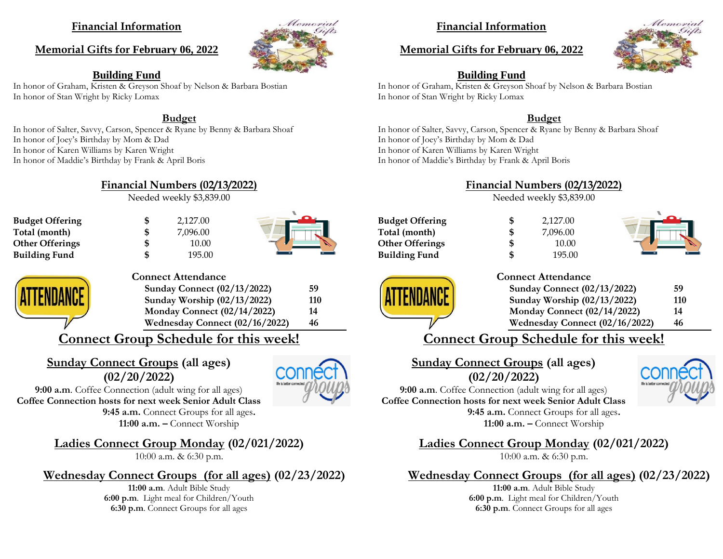#### **Financial Information**

#### **Memorial Gifts for February 06, 2022**

![](_page_3_Picture_2.jpeg)

#### **Building Fund**

In honor of Graham, Kristen & Greyson Shoaf by Nelson & Barbara Bostian In honor of Stan Wright by Ricky Lomax

#### **Budget**

In honor of Salter, Savvy, Carson, Spencer & Ryane by Benny & Barbara Shoaf In honor of Joey's Birthday by Mom & Dad In honor of Karen Williams by Karen Wright In honor of Maddie's Birthday by Frank & April Boris

#### **Financial Numbers (02/13/2022)**

Needed weekly \$3,839.00

**Budget Offering \$** 2,127.00 **Total (month) \$** 7,096.00 **Other Offerings**  $\qquad$  **\$** 10.00 **Building Fund \$** 195.00

![](_page_3_Picture_11.jpeg)

![](_page_3_Picture_12.jpeg)

**Connect Attendance Sunday Connect (02/13/2022) 59 Sunday Worship (02/13/2022) 110** 

**Monday Connect (02/14/2022) 14 Wednesday Connect (02/16/2022) 46**

# **Connect Group Schedule for this week!**

# **Sunday Connect Groups (all ages) (02/20/2022)**

![](_page_3_Picture_17.jpeg)

**9:00 a.m**. Coffee Connection (adult wing for all ages) **Coffee Connection hosts for next week Senior Adult Class 9:45 a.m.** Connect Groups for all ages**. 11:00 a.m. –** Connect Worship

**Ladies Connect Group Monday (02/021/2022)**

10:00 a.m. & 6:30 p.m.

# **Wednesday Connect Groups (for all ages) (02/23/2022)**

**11:00 a.m**. Adult Bible Study **6:00 p.m**. Light meal for Children/Youth **6:30 p.m**. Connect Groups for all ages

# **Financial Information**

#### **Memorial Gifts for February 06, 2022**

![](_page_3_Picture_25.jpeg)

### **Building Fund**

In honor of Graham, Kristen & Greyson Shoaf by Nelson & Barbara Bostian In honor of Stan Wright by Ricky Lomax

#### **Budget**

In honor of Salter, Savvy, Carson, Spencer & Ryane by Benny & Barbara Shoaf In honor of Joey's Birthday by Mom & Dad In honor of Karen Williams by Karen Wright In honor of Maddie's Birthday by Frank & April Boris

#### **Financial Numbers (02/13/2022)**

Needed weekly \$3,839.00

**Budget Offering \$** 2,127.00 **Total (month) \$** 7,096.00 **Other Offerings \$** 10.00 **Building Fund \$** 195.00

![](_page_3_Picture_34.jpeg)

**Connect Attendance Sunday Connect (02/13/2022) 59**

**Sunday Worship (02/13/2022) 110 Monday Connect (02/14/2022) 14 Wednesday Connect (02/16/2022) 46**

# **Connect Group Schedule for this week!**

**Sunday Connect Groups (all ages) (02/20/2022)**

**9:00 a.m**. Coffee Connection (adult wing for all ages) **Coffee Connection hosts for next week Senior Adult Class 9:45 a.m.** Connect Groups for all ages**. 11:00 a.m. –** Connect Worship

![](_page_3_Picture_41.jpeg)

**Wednesday Connect Groups (for all ages) (02/23/2022)**

**11:00 a.m**. Adult Bible Study **6:00 p.m**. Light meal for Children/Youth **6:30 p.m**. Connect Groups for all ages

![](_page_3_Picture_44.jpeg)